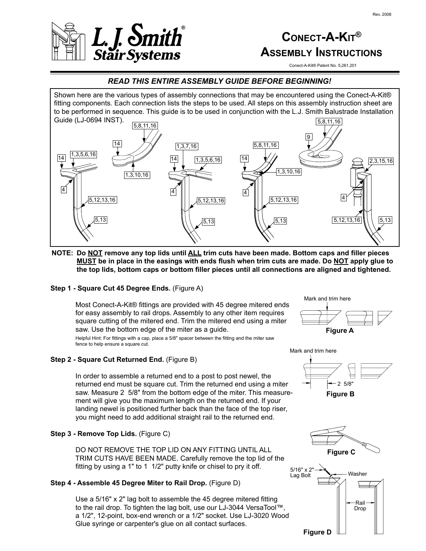

# **CONECT-A-KIT® ASSEMBLY INSTRUCTIONS**

Conect-A-Kit® Patent No. 5,261,201

## *READ THIS ENTIRE ASSEMBLY GUIDE BEFORE BEGINNING!*

Shown here are the various types of assembly connections that may be encountered using the Conect-A-Kit® fitting components. Each connection lists the steps to be used. All steps on this assembly instruction sheet are to be performed in sequence. This guide is to be used in conjunction with the L.J. Smith Balustrade Installation



**NOTE: Do NOT remove any top lids until ALL trim cuts have been made. Bottom caps and filler pieces MUST be in place in the easings with ends flush when trim cuts are made. Do NOT apply glue to the top lids, bottom caps or bottom filler pieces until all connections are aligned and tightened.**

#### **Step 1 - Square Cut 45 Degree Ends.** (Figure A)

Most Conect-A-Kit® fittings are provided with 45 degree mitered ends for easy assembly to rail drops. Assembly to any other item requires square cutting of the mitered end. Trim the mitered end using a miter saw. Use the bottom edge of the miter as a guide.

Helpful Hint: For fittings with a cap, place a 5/8" spacer between the fitting and the miter saw fence to help ensure a square cut.

#### **Step 2 - Square Cut Returned End.** (Figure B)

In order to assemble a returned end to a post to post newel, the returned end must be square cut. Trim the returned end using a miter saw. Measure 2 5/8" from the bottom edge of the miter. This measurement will give you the maximum length on the returned end. If your landing newel is positioned further back than the face of the top riser, you might need to add additional straight rail to the returned end.

#### **Step 3 - Remove Top Lids.** (Figure C)

DO NOT REMOVE THE TOP LID ON ANY FITTING UNTIL ALL TRIM CUTS HAVE BEEN MADE. Carefully remove the top lid of the fitting by using a 1" to 1 1/2" putty knife or chisel to pry it off.

#### **Step 4 - Assemble 45 Degree Miter to Rail Drop.** (Figure D)

Use a 5/16" x 2" lag bolt to assemble the 45 degree mitered fitting to the rail drop. To tighten the lag bolt, use our LJ-3044 VersaTool™, a 1/2", 12-point, box-end wrench or a 1/2" socket. Use LJ-3020 Wood Glue syringe or carpenter's glue on all contact surfaces.







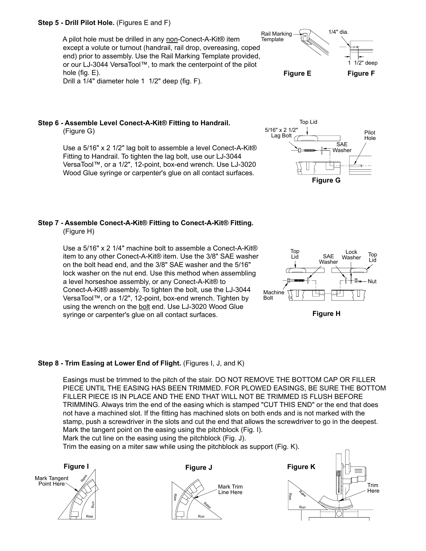#### **Step 5 - Drill Pilot Hole.** (Figures E and F)

A pilot hole must be drilled in any non-Conect-A-Kit® item except a volute or turnout (handrail, rail drop, overeasing, coped end) prior to assembly. Use the Rail Marking Template provided, or our LJ-3044 VersaTool™, to mark the centerpoint of the pilot hole (fig. E). Drill a 1/4" diameter hole 1 1/2" deep (fig. F).



Use a 5/16" x 2 1/2" lag bolt to assemble a level Conect-A-Kit® Fitting to Handrail. To tighten the lag bolt, use our LJ-3044 VersaTool™, or a 1/2", 12-point, box-end wrench. Use LJ-3020 Wood Glue syringe or carpenter's glue on all contact surfaces.

# **Step 7 - Assemble Conect-A-Kit® Fitting to Conect-A-Kit® Fitting.**

(Figure H)

Use a 5/16" x 2 1/4" machine bolt to assemble a Conect-A-Kit® item to any other Conect-A-Kit® item. Use the 3/8" SAE washer on the bolt head end, and the 3/8" SAE washer and the 5/16" lock washer on the nut end. Use this method when assembling a level horseshoe assembly, or any Conect-A-Kit® to Conect-A-Kit® assembly. To tighten the bolt, use the LJ-3044 VersaTool™, or a 1/2", 12-point, box-end wrench. Tighten by using the wrench on the bolt end. Use LJ-3020 Wood Glue syringe or carpenter's glue on all contact surfaces.

#### **Step 8 - Trim Easing at Lower End of Flight.** (Figures I, J, and K)

Easings must be trimmed to the pitch of the stair. DO NOT REMOVE THE BOTTOM CAP OR FILLER PIECE UNTIL THE EASING HAS BEEN TRIMMED. FOR PLOWED EASINGS, BE SURE THE BOTTOM FILLER PIECE IS IN PLACE AND THE END THAT WILL NOT BE TRIMMED IS FLUSH BEFORE TRIMMING. Always trim the end of the easing which is stamped "CUT THIS END" or the end that does not have a machined slot. If the fitting has machined slots on both ends and is not marked with the stamp, push a screwdriver in the slots and cut the end that allows the screwdriver to go in the deepest. Mark the tangent point on the easing using the pitchblock (Fig. I). Mark the cut line on the easing using the pitchblock (Fig. J).

Trim the easing on a miter saw while using the pitchblock as support (Fig. K).













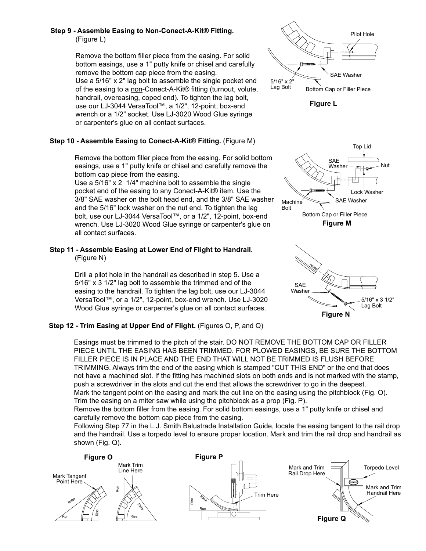### **Step 9 - Assemble Easing to Non-Conect-A-Kit® Fitting.** (Figure L)

Remove the bottom filler piece from the easing. For solid bottom easings, use a 1" putty knife or chisel and carefully remove the bottom cap piece from the easing. Use a 5/16" x 2" lag bolt to assemble the single pocket end of the easing to a non-Conect-A-Kit® fitting (turnout, volute, handrail, overeasing, coped end). To tighten the lag bolt, use our LJ-3044 VersaTool™, a 1/2", 12-point, box-end wrench or a 1/2" socket. Use LJ-3020 Wood Glue syringe or carpenter's glue on all contact surfaces.

## **Step 10 - Assemble Easing to Conect-A-Kit® Fitting.** (Figure M)

Remove the bottom filler piece from the easing. For solid bottom easings, use a 1" putty knife or chisel and carefully remove the bottom cap piece from the easing.

Use a 5/16" x 2 1/4" machine bolt to assemble the single pocket end of the easing to any Conect-A-Kit® item. Use the 3/8" SAE washer on the bolt head end, and the 3/8" SAE washer and the 5/16" lock washer on the nut end. To tighten the lag bolt, use our LJ-3044 VersaTool™, or a 1/2", 12-point, box-end wrench. Use LJ-3020 Wood Glue syringe or carpenter's glue on all contact surfaces.

#### **Step 11 - Assemble Easing at Lower End of Flight to Handrail.** (Figure N)

Drill a pilot hole in the handrail as described in step 5. Use a 5/16" x 3 1/2" lag bolt to assemble the trimmed end of the easing to the handrail. To tighten the lag bolt, use our LJ-3044 VersaTool™, or a 1/2", 12-point, box-end wrench. Use LJ-3020 Wood Glue syringe or carpenter's glue on all contact surfaces.

# **Step 12 - Trim Easing at Upper End of Flight.** (Figures O, P, and Q)

Easings must be trimmed to the pitch of the stair. DO NOT REMOVE THE BOTTOM CAP OR FILLER PIECE UNTIL THE EASING HAS BEEN TRIMMED. FOR PLOWED EASINGS, BE SURE THE BOTTOM FILLER PIECE IS IN PLACE AND THE END THAT WILL NOT BE TRIMMED IS FLUSH BEFORE TRIMMING. Always trim the end of the easing which is stamped "CUT THIS END" or the end that does not have a machined slot. If the fitting has machined slots on both ends and is not marked with the stamp, push a screwdriver in the slots and cut the end that allows the screwdriver to go in the deepest. Mark the tangent point on the easing and mark the cut line on the easing using the pitchblock (Fig. O). Trim the easing on a miter saw while using the pitchblock as a prop (Fig. P).

Remove the bottom filler from the easing. For solid bottom easings, use a 1" putty knife or chisel and carefully remove the bottom cap piece from the easing.

Following Step 77 in the L.J. Smith Balustrade Installation Guide, locate the easing tangent to the rail drop and the handrail. Use a torpedo level to ensure proper location. Mark and trim the rail drop and handrail as shown (Fig. Q).





**Figure L**